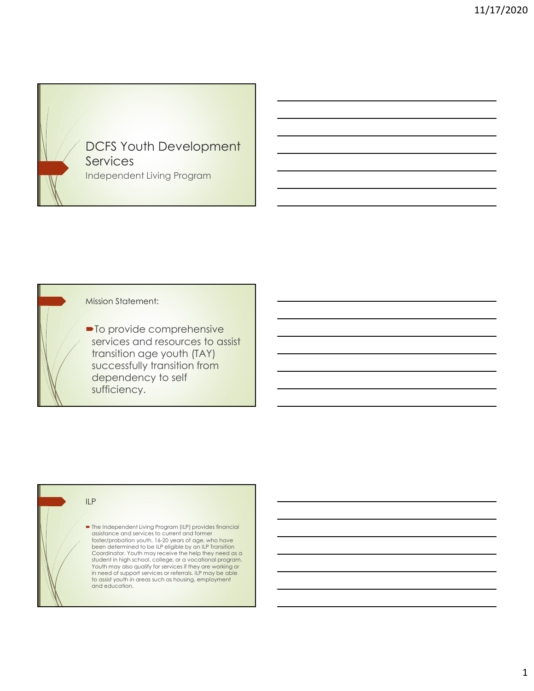

# Mission Statement:

• To provide comprehensive services and resources to assist transition age youth (TAY) successfully transition from dependency to self sufficiency.

## ILP

 The Independent Living Program (ILP) provides financial assistance and services to current and former foster/probation youth, 16-20 years of age, who have<br>been determined to be ILP eligible by an ILP Transition<br>Coordinator. Youth may receive the help they need as a<br>student in high school, college, or a vocational program.<br> in need of support services or referrals. ILP may be able to assist youth in areas such as housing, employment and education.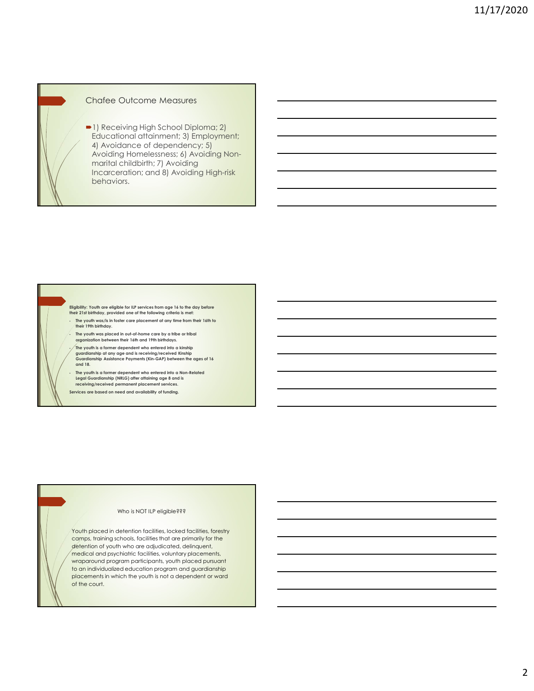

## Chafee Outcome Measures

1) Receiving High School Diploma; 2) Educational attainment; 3) Employment; 4) Avoidance of dependency; 5) Avoiding Homelessness; 6) Avoiding Nonmarital childbirth; 7) Avoiding Incarceration; and 8) Avoiding High-risk behaviors.



 The youth is a former dependent who entered into a Non-Related Legal Guardianship (NRLG) after attaining age 8 and is receiving/received permanent placement services.

Services are based on need and availability of funding.

### Who is NOT ILP eligible???

Youth placed in detention facilities, locked facilities, forestry camps, training schools, facilities that are primarily for the detention of youth who are adjudicated, delinquent, medical and psychiatric facilities, voluntary placements, wraparound program participants, youth placed pursuant to an individualized education program and guardianship placements in which the youth is not a dependent or ward of the court.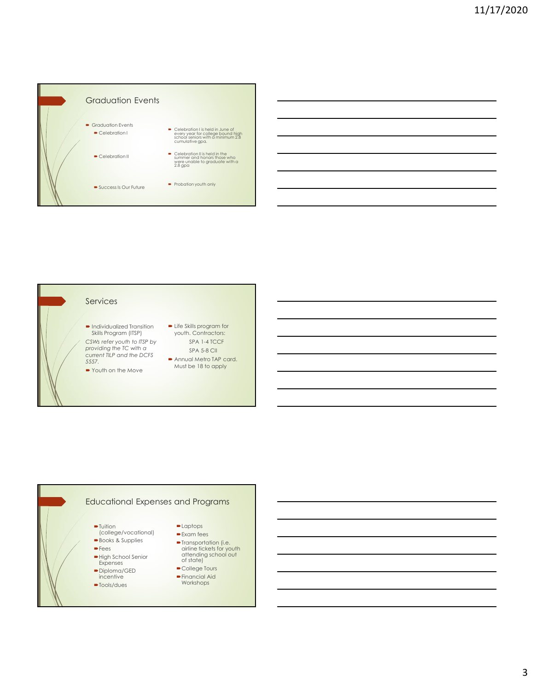

### Services

- Individualized Transition Life Skills program for<br>Skills Program (ITSP) youth. Contractors: Skills Program (ITSP) youth. Contractors: CSWs refer youth to ITSP by providing the TC with a current TILP and the DCFS 5557. • Individualized Transition • Life Skills program for<br>
Skills Program (ITSP) • youth. Contractors:<br>
CSWs refer youth to ITSP by<br>
providing the TC with a<br>
current TILP and the DCFS • Annual Metro TAP card.<br>
• Youth on the M
- 
- SPA 1-4 TCCF SPA 5-8 CII
- Annual Metro TAP card. Must be 18 to apply



- 
- Fees airline tickets for the set of the set of the set of the set of the set of the set of the set of the set of the set of the set of the set of the set of the set of the set of the set of the set of the set of the set of High School Senior<br>Expenses
- 
- Diploma/GED<br>incentive
- 
- 
- Expenses or signer and the construction of signer and the construction of  $\sim$ airline tickets for youth attending school out of state)
	- College Tours
- incentive Financial Aid Workshops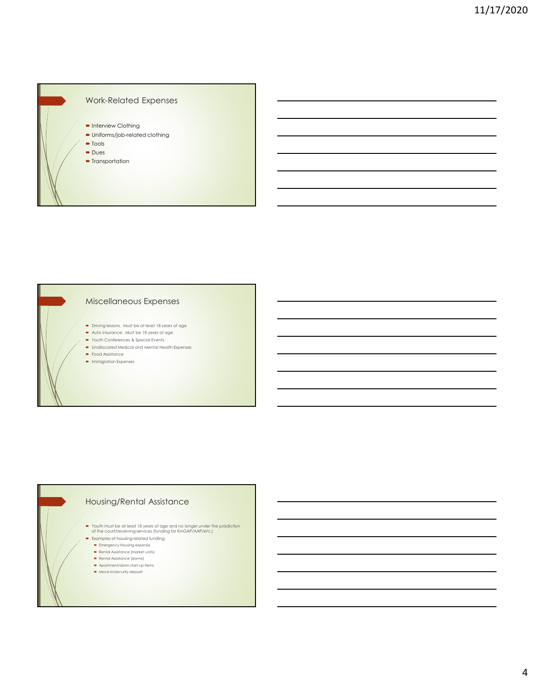

## Miscellaneous Expenses

- Driving lessons. Must be at least 18 years of age
- Auto insurance: Must be 18 years of age
- Youth Conferences & Special Events
- Unallocated Medical and Mental Health Expenses • Food Assistance
- **Immigration Expenses**

# Housing/Rental Assistance

- Youth must be at least 18 years of age and no longer under the jurisdiction of the court/receiving services (funding for KinGAP/AAP/etc.)
- **Examples of housing-related funding:** 
	- **Emergency Housing expense** Rental Assistance (market units)
	- Rental Assistance (dorms)
	- Apartment/dorm start-up items
	- $\bullet$  Move-in/security deposit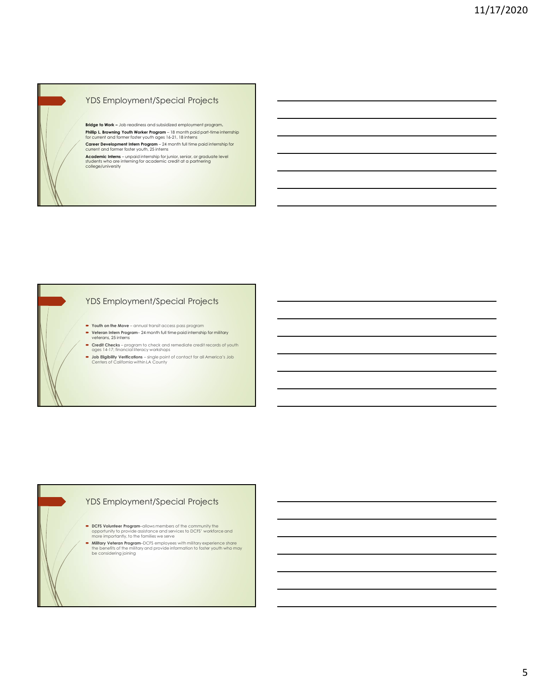

# YDS Employment/Special Projects

YDS Employment/Special Projects<br>Midge b Wok - Ab modified and validated employment program.<br>This p, b town-to modified and validated employment program.<br>The metric and terms of the Woke Program - it in most paid gest than YOS Employment/Special Projects<br>
Miss to Wat – an examples and shortane regions.<br>
This Liberation Work Project is a maintage of the Movements<br>
Care (where Youth Miss Project is a maintage of the Movements)<br>
Care (where Mov **Insign is Weik –** Job leaderships and a Additional encords profits in program (<br>Core can did not only what in Regency – University and particular position international<br>Catalogue in the case of the case of youth and the p **Philip Linewigh Tom Microsoft Were Regent – single point of contact for all Americans – single properties of contact for all America's Job Centers of California with the properties of contact for all America's Job Centers** 

students who are interning for academic credit at a partnering college/university

YDS Employment/Special Projects

- 
- Veteran Intern Program– 24 month full time paid internship for military veterans, 25 interns
- 
- Credit Checks program to check and remediate credit records of youth<br>ages 14-17; financial literacy workshops<br>be lightlitty Verifications single point of contact for all America's Job<br>Centers of California within LA

## YDS Employment/Special Projects

- DCFS Volunteer Program–allows members of the community the opportunity to provide assistance and services to DCFS' workforce and more importantly, to the families we serve
- **Military Veteran Program**–DCFS employees with military experience share the benefits of the military and provide information to foster youth who may be considering joining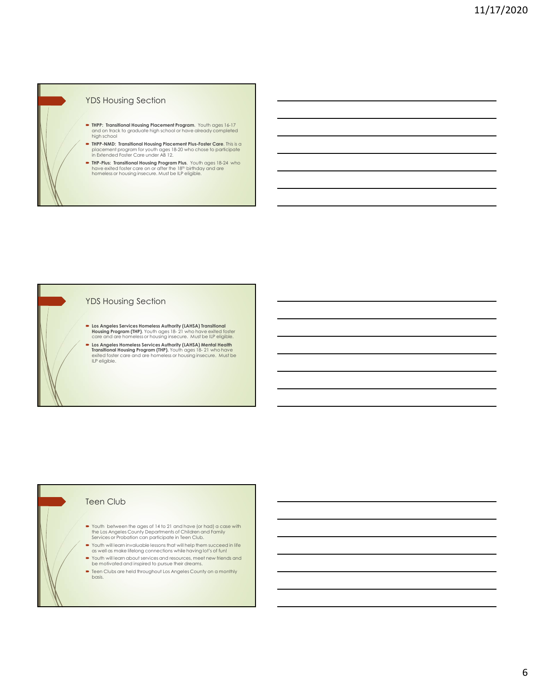## YDS Housing Section

- THPP: Transitional Housing Placement Program. Youth ages 16-17 and on track to graduate high school or have already completed high school
- **THPP-NMD: Transitional Housing Placement Plus-Foster Care.** This is a<br>placement program for youth ages 18-20 who chose to participate in Extended Foster Care under AB 12.<br>in Extended Foster Care under AB 12.
- **THP-Plus: Transitional Housing Program Plus.** Youth ages 18-24 who have exited foster care on or after the 18th birthday and are have the 18th birthday and are homeless or housing insecure. Must be ILP eligible.

## YDS Housing Section

- Los Angeles Services Homeless Authority (LAHSA) Transitional care and are homeless or housing insecure. Must be ILP eligible.
- US HOUSING Section<br>
The FrameMost Housing Processes frequency <sup>1</sup>/2018. The right of EP<br>
might add that the product the result of the result of the result of the results of<br>
might age of the product the result of the resul Los Angeles Homeless Services Authority (LAHSA) Mental Health The housing Housing Processes the main transitional Housing Life of the main transition of the main transitional Housing Procession Professional Housing Procession and the main transition of the main transition of the main exited foster care and are homeless or housing insecure. Must be ILP eligible. **From Angles terrices tionness** Awbreak (VANEA) transferred in<br>Copyright will be invaluable in Technology (VANEA) will be the digitate<br>**From Angles Homeless or Property en Activity (VANEA) when the minimals in the main par**

### Teen Club

- Youth between the ages of 14 to 21 and have (or had) a case with the Los Angeles County Departments of Children and Family
- Youth will learn invaluable lessons that will help them succeed in life as well as make lifelong connections while having lot's of fun!
- Youth will learn about services and resources, meet new friends and be motivated and inspired to pursue their dreams.
- Teen Clubs are held throughout Los Angeles County on a monthly basis.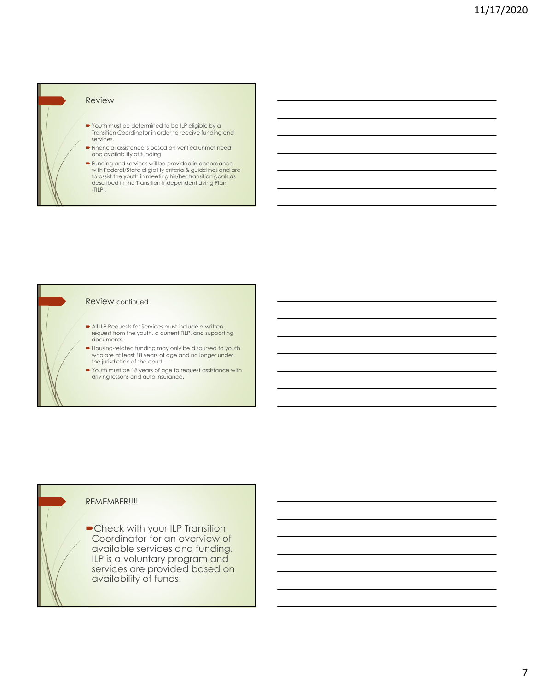# Review

- Youth must be determined to be ILP eligible by a Transition Coordinator in order to receive funding and services.
- Financial assistance is based on verified unmet need and availability of funding.
- **Funding and services will be provided in accordance** with Federal/State eligibility criteria & guidelines and are to assist the youth in meeting his/her transition goals as described in the Transition Independent Living Plan (TILP).

### Review continued

- All ILP Requests for Services must include a written request from the youth, a current TILP, and supporting documents.
- Housing-related funding may only be disbursed to youth who are at least 18 years of age and no longer under the jurisdiction of the court.
- Youth must be 18 years of age to request assistance with driving lessons and auto insurance.

### REMEMBER!!!!

Check with your ILP Transition Coordinator for an overview of available services and funding. ILP is a voluntary program and services are provided based on **the contract of the services** are provided based on availability of funds!